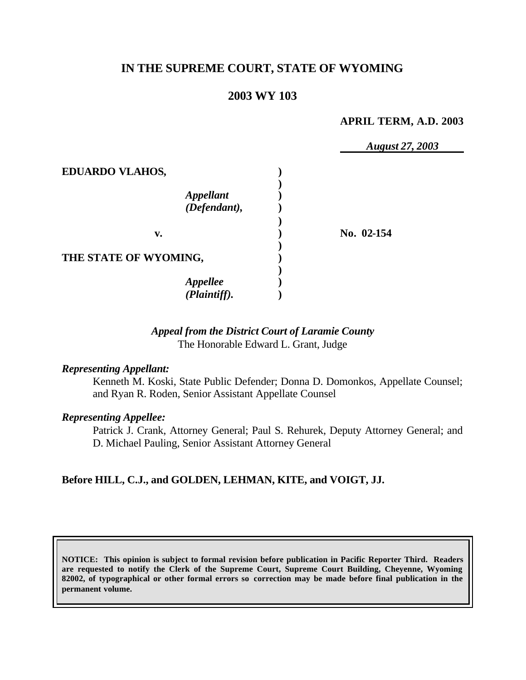# **IN THE SUPREME COURT, STATE OF WYOMING**

## **2003 WY 103**

#### **APRIL TERM, A.D. 2003**

|                        | <b>August 27, 2003</b> |
|------------------------|------------------------|
| <b>EDUARDO VLAHOS,</b> |                        |
| <b>Appellant</b>       |                        |
| (Defendant),           |                        |
|                        |                        |
| v.                     | No. 02-154             |
|                        |                        |
| THE STATE OF WYOMING,  |                        |
|                        |                        |
| <b>Appellee</b>        |                        |
| (Plaintiff).           |                        |

## *Appeal from the District Court of Laramie County* The Honorable Edward L. Grant, Judge

#### *Representing Appellant:*

Kenneth M. Koski, State Public Defender; Donna D. Domonkos, Appellate Counsel; and Ryan R. Roden, Senior Assistant Appellate Counsel

#### *Representing Appellee:*

Patrick J. Crank, Attorney General; Paul S. Rehurek, Deputy Attorney General; and D. Michael Pauling, Senior Assistant Attorney General

## **Before HILL, C.J., and GOLDEN, LEHMAN, KITE, and VOIGT, JJ.**

**NOTICE: This opinion is subject to formal revision before publication in Pacific Reporter Third. Readers are requested to notify the Clerk of the Supreme Court, Supreme Court Building, Cheyenne, Wyoming 82002, of typographical or other formal errors so correction may be made before final publication in the permanent volume.**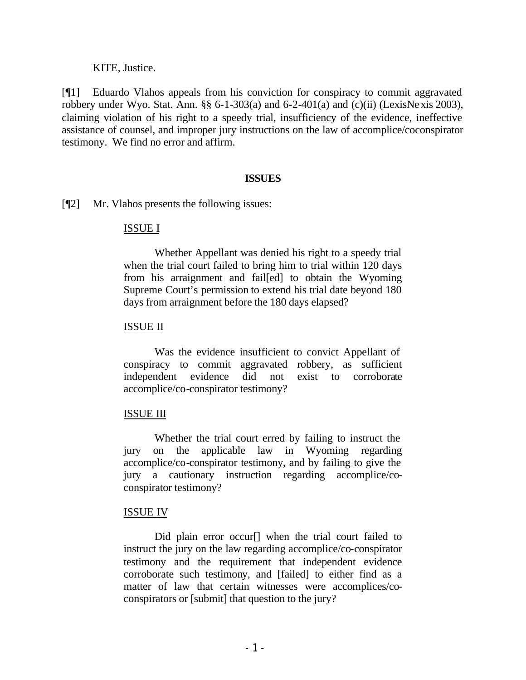KITE, Justice.

[¶1] Eduardo Vlahos appeals from his conviction for conspiracy to commit aggravated robbery under Wyo. Stat. Ann.  $\S\S 6$ -1-303(a) and 6-2-401(a) and (c)(ii) (LexisNexis 2003), claiming violation of his right to a speedy trial, insufficiency of the evidence, ineffective assistance of counsel, and improper jury instructions on the law of accomplice/coconspirator testimony. We find no error and affirm.

#### **ISSUES**

[¶2] Mr. Vlahos presents the following issues:

## ISSUE I

Whether Appellant was denied his right to a speedy trial when the trial court failed to bring him to trial within 120 days from his arraignment and fail[ed] to obtain the Wyoming Supreme Court's permission to extend his trial date beyond 180 days from arraignment before the 180 days elapsed?

#### ISSUE II

Was the evidence insufficient to convict Appellant of conspiracy to commit aggravated robbery, as sufficient independent evidence did not exist to corroborate accomplice/co-conspirator testimony?

## ISSUE III

Whether the trial court erred by failing to instruct the jury on the applicable law in Wyoming regarding accomplice/co-conspirator testimony, and by failing to give the jury a cautionary instruction regarding accomplice/coconspirator testimony?

## ISSUE IV

Did plain error occur<sup>[]</sup> when the trial court failed to instruct the jury on the law regarding accomplice/co-conspirator testimony and the requirement that independent evidence corroborate such testimony, and [failed] to either find as a matter of law that certain witnesses were accomplices/coconspirators or [submit] that question to the jury?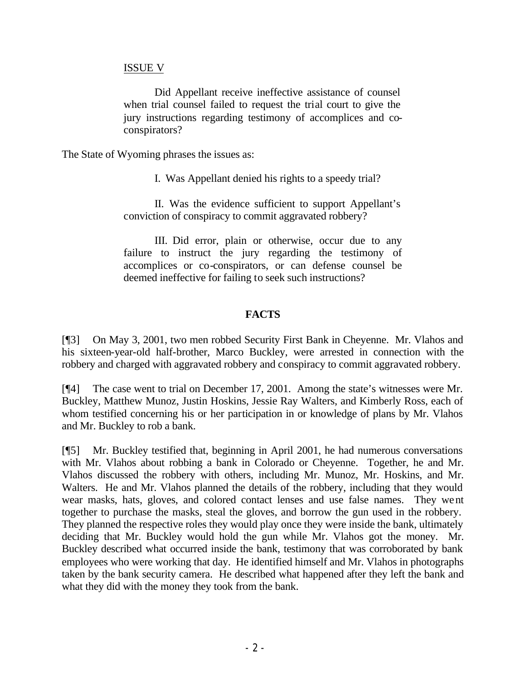#### ISSUE V

Did Appellant receive ineffective assistance of counsel when trial counsel failed to request the trial court to give the jury instructions regarding testimony of accomplices and coconspirators?

The State of Wyoming phrases the issues as:

I. Was Appellant denied his rights to a speedy trial?

II. Was the evidence sufficient to support Appellant's conviction of conspiracy to commit aggravated robbery?

III. Did error, plain or otherwise, occur due to any failure to instruct the jury regarding the testimony of accomplices or co-conspirators, or can defense counsel be deemed ineffective for failing to seek such instructions?

## **FACTS**

[¶3] On May 3, 2001, two men robbed Security First Bank in Cheyenne. Mr. Vlahos and his sixteen-year-old half-brother, Marco Buckley, were arrested in connection with the robbery and charged with aggravated robbery and conspiracy to commit aggravated robbery.

[¶4] The case went to trial on December 17, 2001. Among the state's witnesses were Mr. Buckley, Matthew Munoz, Justin Hoskins, Jessie Ray Walters, and Kimberly Ross, each of whom testified concerning his or her participation in or knowledge of plans by Mr. Vlahos and Mr. Buckley to rob a bank.

[¶5] Mr. Buckley testified that, beginning in April 2001, he had numerous conversations with Mr. Vlahos about robbing a bank in Colorado or Cheyenne. Together, he and Mr. Vlahos discussed the robbery with others, including Mr. Munoz, Mr. Hoskins, and Mr. Walters. He and Mr. Vlahos planned the details of the robbery, including that they would wear masks, hats, gloves, and colored contact lenses and use false names. They went together to purchase the masks, steal the gloves, and borrow the gun used in the robbery. They planned the respective roles they would play once they were inside the bank, ultimately deciding that Mr. Buckley would hold the gun while Mr. Vlahos got the money. Mr. Buckley described what occurred inside the bank, testimony that was corroborated by bank employees who were working that day. He identified himself and Mr. Vlahos in photographs taken by the bank security camera. He described what happened after they left the bank and what they did with the money they took from the bank.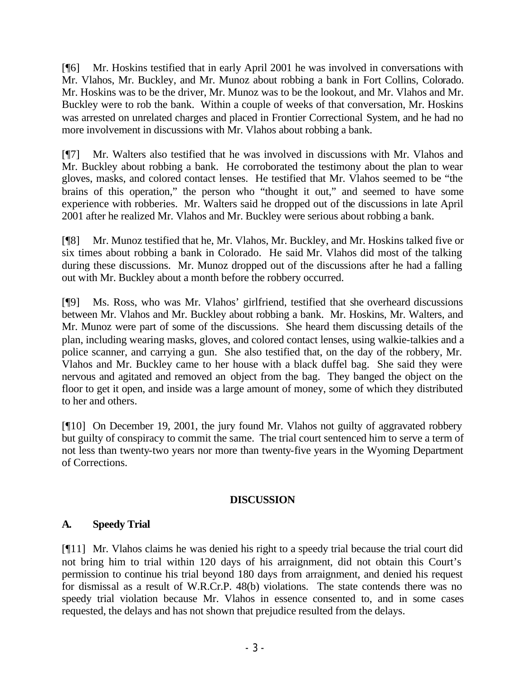[¶6] Mr. Hoskins testified that in early April 2001 he was involved in conversations with Mr. Vlahos, Mr. Buckley, and Mr. Munoz about robbing a bank in Fort Collins, Colorado. Mr. Hoskins was to be the driver, Mr. Munoz was to be the lookout, and Mr. Vlahos and Mr. Buckley were to rob the bank. Within a couple of weeks of that conversation, Mr. Hoskins was arrested on unrelated charges and placed in Frontier Correctional System, and he had no more involvement in discussions with Mr. Vlahos about robbing a bank.

[¶7] Mr. Walters also testified that he was involved in discussions with Mr. Vlahos and Mr. Buckley about robbing a bank. He corroborated the testimony about the plan to wear gloves, masks, and colored contact lenses. He testified that Mr. Vlahos seemed to be "the brains of this operation," the person who "thought it out," and seemed to have some experience with robberies. Mr. Walters said he dropped out of the discussions in late April 2001 after he realized Mr. Vlahos and Mr. Buckley were serious about robbing a bank.

[¶8] Mr. Munoz testified that he, Mr. Vlahos, Mr. Buckley, and Mr. Hoskins talked five or six times about robbing a bank in Colorado. He said Mr. Vlahos did most of the talking during these discussions. Mr. Munoz dropped out of the discussions after he had a falling out with Mr. Buckley about a month before the robbery occurred.

[¶9] Ms. Ross, who was Mr. Vlahos' girlfriend, testified that she overheard discussions between Mr. Vlahos and Mr. Buckley about robbing a bank. Mr. Hoskins, Mr. Walters, and Mr. Munoz were part of some of the discussions. She heard them discussing details of the plan, including wearing masks, gloves, and colored contact lenses, using walkie-talkies and a police scanner, and carrying a gun. She also testified that, on the day of the robbery, Mr. Vlahos and Mr. Buckley came to her house with a black duffel bag. She said they were nervous and agitated and removed an object from the bag. They banged the object on the floor to get it open, and inside was a large amount of money, some of which they distributed to her and others.

[¶10] On December 19, 2001, the jury found Mr. Vlahos not guilty of aggravated robbery but guilty of conspiracy to commit the same. The trial court sentenced him to serve a term of not less than twenty-two years nor more than twenty-five years in the Wyoming Department of Corrections.

## **DISCUSSION**

## **A. Speedy Trial**

[¶11] Mr. Vlahos claims he was denied his right to a speedy trial because the trial court did not bring him to trial within 120 days of his arraignment, did not obtain this Court's permission to continue his trial beyond 180 days from arraignment, and denied his request for dismissal as a result of W.R.Cr.P. 48(b) violations. The state contends there was no speedy trial violation because Mr. Vlahos in essence consented to, and in some cases requested, the delays and has not shown that prejudice resulted from the delays.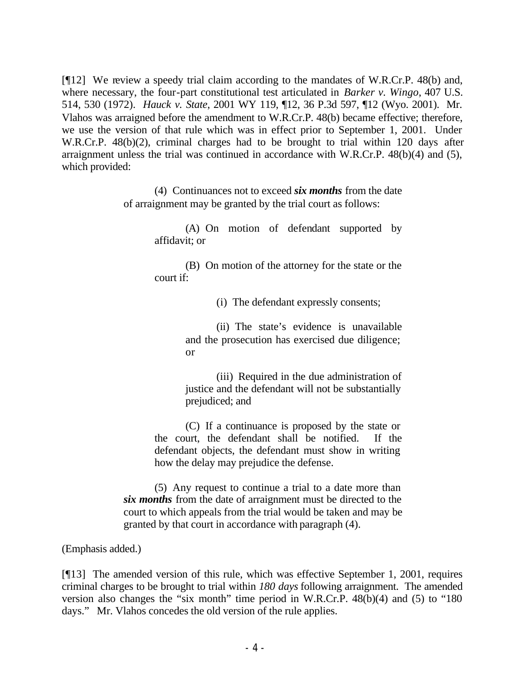[¶12] We review a speedy trial claim according to the mandates of W.R.Cr.P. 48(b) and, where necessary, the four-part constitutional test articulated in *Barker v. Wingo*, 407 U.S. 514, 530 (1972). *Hauck v. State*, 2001 WY 119, ¶12, 36 P.3d 597, ¶12 (Wyo. 2001). Mr. Vlahos was arraigned before the amendment to W.R.Cr.P. 48(b) became effective; therefore, we use the version of that rule which was in effect prior to September 1, 2001. Under W.R.Cr.P. 48(b)(2), criminal charges had to be brought to trial within 120 days after arraignment unless the trial was continued in accordance with W.R.Cr.P. 48(b)(4) and (5), which provided:

> (4) Continuances not to exceed *six months* from the date of arraignment may be granted by the trial court as follows:

> > (A) On motion of defendant supported by affidavit; or

> > (B) On motion of the attorney for the state or the court if:

> > > (i) The defendant expressly consents;

(ii) The state's evidence is unavailable and the prosecution has exercised due diligence; or

(iii) Required in the due administration of justice and the defendant will not be substantially prejudiced; and

(C) If a continuance is proposed by the state or the court, the defendant shall be notified. If the defendant objects, the defendant must show in writing how the delay may prejudice the defense.

(5) Any request to continue a trial to a date more than *six months* from the date of arraignment must be directed to the court to which appeals from the trial would be taken and may be granted by that court in accordance with paragraph (4).

(Emphasis added.)

[¶13] The amended version of this rule, which was effective September 1, 2001, requires criminal charges to be brought to trial within *180 days* following arraignment. The amended version also changes the "six month" time period in W.R.Cr.P. 48(b)(4) and (5) to "180 days." Mr. Vlahos concedes the old version of the rule applies.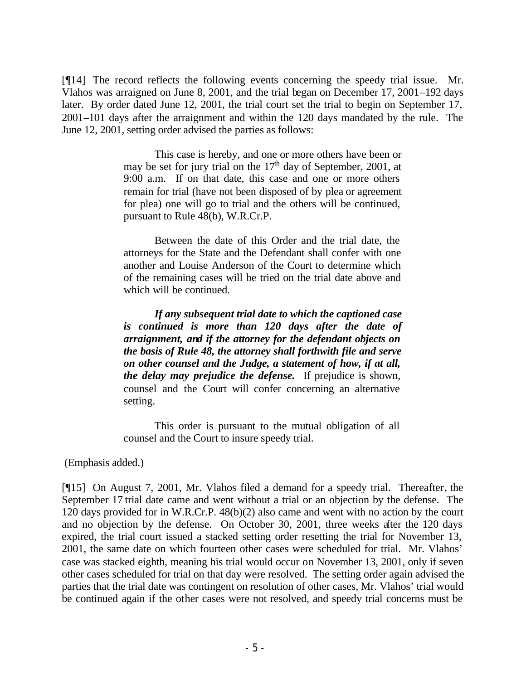[¶14] The record reflects the following events concerning the speedy trial issue. Mr. Vlahos was arraigned on June 8, 2001, and the trial began on December 17, 2001–192 days later. By order dated June 12, 2001, the trial court set the trial to begin on September 17, 2001–101 days after the arraignment and within the 120 days mandated by the rule. The June 12, 2001, setting order advised the parties as follows:

> This case is hereby, and one or more others have been or may be set for jury trial on the  $17<sup>th</sup>$  day of September, 2001, at 9:00 a.m. If on that date, this case and one or more others remain for trial (have not been disposed of by plea or agreement for plea) one will go to trial and the others will be continued, pursuant to Rule 48(b), W.R.Cr.P.

> Between the date of this Order and the trial date, the attorneys for the State and the Defendant shall confer with one another and Louise Anderson of the Court to determine which of the remaining cases will be tried on the trial date above and which will be continued.

> *If any subsequent trial date to which the captioned case is continued is more than 120 days after the date of arraignment, and if the attorney for the defendant objects on the basis of Rule 48, the attorney shall forthwith file and serve on other counsel and the Judge, a statement of how, if at all, the delay may prejudice the defense.* If prejudice is shown, counsel and the Court will confer concerning an alternative setting.

> This order is pursuant to the mutual obligation of all counsel and the Court to insure speedy trial.

(Emphasis added.)

[¶15] On August 7, 2001, Mr. Vlahos filed a demand for a speedy trial. Thereafter, the September 17 trial date came and went without a trial or an objection by the defense. The 120 days provided for in W.R.Cr.P. 48(b)(2) also came and went with no action by the court and no objection by the defense. On October 30, 2001, three weeks after the 120 days expired, the trial court issued a stacked setting order resetting the trial for November 13, 2001, the same date on which fourteen other cases were scheduled for trial. Mr. Vlahos' case was stacked eighth, meaning his trial would occur on November 13, 2001, only if seven other cases scheduled for trial on that day were resolved. The setting order again advised the parties that the trial date was contingent on resolution of other cases, Mr. Vlahos' trial would be continued again if the other cases were not resolved, and speedy trial concerns must be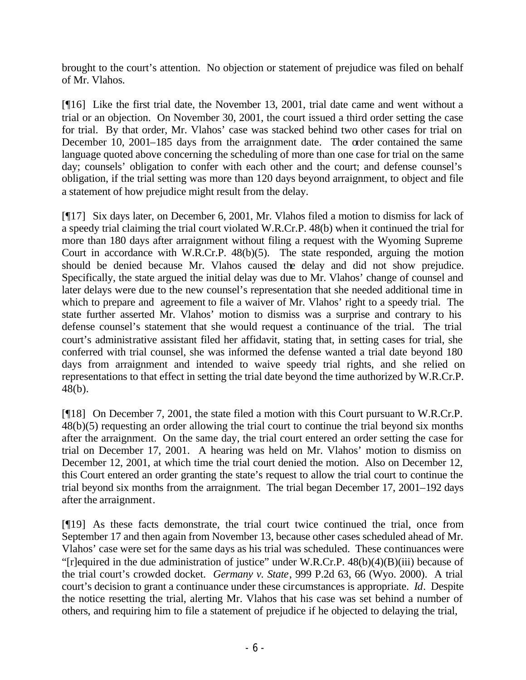brought to the court's attention. No objection or statement of prejudice was filed on behalf of Mr. Vlahos.

[¶16] Like the first trial date, the November 13, 2001, trial date came and went without a trial or an objection. On November 30, 2001, the court issued a third order setting the case for trial. By that order, Mr. Vlahos' case was stacked behind two other cases for trial on December 10, 2001–185 days from the arraignment date. The order contained the same language quoted above concerning the scheduling of more than one case for trial on the same day; counsels' obligation to confer with each other and the court; and defense counsel's obligation, if the trial setting was more than 120 days beyond arraignment, to object and file a statement of how prejudice might result from the delay.

[¶17] Six days later, on December 6, 2001, Mr. Vlahos filed a motion to dismiss for lack of a speedy trial claiming the trial court violated W.R.Cr.P. 48(b) when it continued the trial for more than 180 days after arraignment without filing a request with the Wyoming Supreme Court in accordance with W.R.Cr.P. 48(b)(5). The state responded, arguing the motion should be denied because Mr. Vlahos caused the delay and did not show prejudice. Specifically, the state argued the initial delay was due to Mr. Vlahos' change of counsel and later delays were due to the new counsel's representation that she needed additional time in which to prepare and agreement to file a waiver of Mr. Vlahos' right to a speedy trial. The state further asserted Mr. Vlahos' motion to dismiss was a surprise and contrary to his defense counsel's statement that she would request a continuance of the trial. The trial court's administrative assistant filed her affidavit, stating that, in setting cases for trial, she conferred with trial counsel, she was informed the defense wanted a trial date beyond 180 days from arraignment and intended to waive speedy trial rights, and she relied on representations to that effect in setting the trial date beyond the time authorized by W.R.Cr.P. 48(b).

[¶18] On December 7, 2001, the state filed a motion with this Court pursuant to W.R.Cr.P. 48(b)(5) requesting an order allowing the trial court to continue the trial beyond six months after the arraignment. On the same day, the trial court entered an order setting the case for trial on December 17, 2001. A hearing was held on Mr. Vlahos' motion to dismiss on December 12, 2001, at which time the trial court denied the motion. Also on December 12, this Court entered an order granting the state's request to allow the trial court to continue the trial beyond six months from the arraignment. The trial began December 17, 2001–192 days after the arraignment.

[¶19] As these facts demonstrate, the trial court twice continued the trial, once from September 17 and then again from November 13, because other cases scheduled ahead of Mr. Vlahos' case were set for the same days as his trial was scheduled. These continuances were "[r]equired in the due administration of justice" under W.R.Cr.P. 48(b)(4)(B)(iii) because of the trial court's crowded docket. *Germany v. State*, 999 P.2d 63, 66 (Wyo. 2000). A trial court's decision to grant a continuance under these circumstances is appropriate. *Id*. Despite the notice resetting the trial, alerting Mr. Vlahos that his case was set behind a number of others, and requiring him to file a statement of prejudice if he objected to delaying the trial,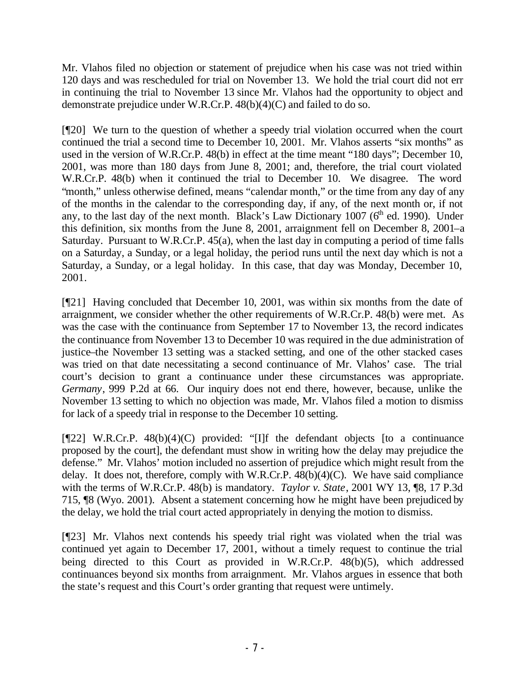Mr. Vlahos filed no objection or statement of prejudice when his case was not tried within 120 days and was rescheduled for trial on November 13. We hold the trial court did not err in continuing the trial to November 13 since Mr. Vlahos had the opportunity to object and demonstrate prejudice under W.R.Cr.P. 48(b)(4)(C) and failed to do so.

[¶20] We turn to the question of whether a speedy trial violation occurred when the court continued the trial a second time to December 10, 2001. Mr. Vlahos asserts "six months" as used in the version of W.R.Cr.P. 48(b) in effect at the time meant "180 days"; December 10, 2001, was more than 180 days from June 8, 2001; and, therefore, the trial court violated W.R.Cr.P. 48(b) when it continued the trial to December 10. We disagree. The word "month," unless otherwise defined, means "calendar month," or the time from any day of any of the months in the calendar to the corresponding day, if any, of the next month or, if not any, to the last day of the next month. Black's Law Dictionary 1007 ( $6<sup>th</sup>$  ed. 1990). Under this definition, six months from the June 8, 2001, arraignment fell on December 8, 2001–a Saturday. Pursuant to W.R.Cr.P. 45(a), when the last day in computing a period of time falls on a Saturday, a Sunday, or a legal holiday, the period runs until the next day which is not a Saturday, a Sunday, or a legal holiday. In this case, that day was Monday, December 10, 2001.

[¶21] Having concluded that December 10, 2001, was within six months from the date of arraignment, we consider whether the other requirements of W.R.Cr.P. 48(b) were met. As was the case with the continuance from September 17 to November 13, the record indicates the continuance from November 13 to December 10 was required in the due administration of justice–the November 13 setting was a stacked setting, and one of the other stacked cases was tried on that date necessitating a second continuance of Mr. Vlahos' case. The trial court's decision to grant a continuance under these circumstances was appropriate. *Germany*, 999 P.2d at 66. Our inquiry does not end there, however, because, unlike the November 13 setting to which no objection was made, Mr. Vlahos filed a motion to dismiss for lack of a speedy trial in response to the December 10 setting.

[¶22] W.R.Cr.P. 48(b)(4)(C) provided: "[I]f the defendant objects [to a continuance proposed by the court], the defendant must show in writing how the delay may prejudice the defense." Mr. Vlahos' motion included no assertion of prejudice which might result from the delay. It does not, therefore, comply with W.R.Cr.P.  $48(b)(4)(C)$ . We have said compliance with the terms of W.R.Cr.P. 48(b) is mandatory. *Taylor v. State*, 2001 WY 13, ¶8, 17 P.3d 715, ¶8 (Wyo. 2001). Absent a statement concerning how he might have been prejudiced by the delay, we hold the trial court acted appropriately in denying the motion to dismiss.

[¶23] Mr. Vlahos next contends his speedy trial right was violated when the trial was continued yet again to December 17, 2001, without a timely request to continue the trial being directed to this Court as provided in W.R.Cr.P. 48(b)(5), which addressed continuances beyond six months from arraignment. Mr. Vlahos argues in essence that both the state's request and this Court's order granting that request were untimely.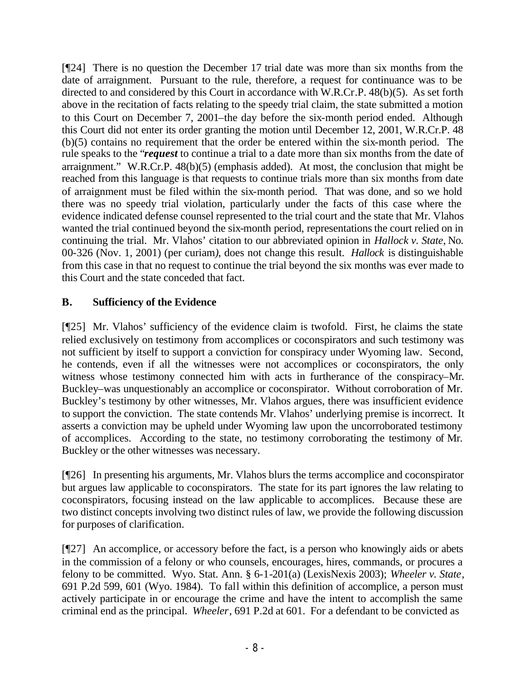[¶24] There is no question the December 17 trial date was more than six months from the date of arraignment. Pursuant to the rule, therefore, a request for continuance was to be directed to and considered by this Court in accordance with W.R.Cr.P. 48(b)(5). As set forth above in the recitation of facts relating to the speedy trial claim, the state submitted a motion to this Court on December 7, 2001–the day before the six-month period ended. Although this Court did not enter its order granting the motion until December 12, 2001, W.R.Cr.P. 48 (b)(5) contains no requirement that the order be entered within the six-month period. The rule speaks to the "*request* to continue a trial to a date more than six months from the date of arraignment." W.R.Cr.P. 48(b)(5) (emphasis added). At most, the conclusion that might be reached from this language is that requests to continue trials more than six months from date of arraignment must be filed within the six-month period. That was done, and so we hold there was no speedy trial violation, particularly under the facts of this case where the evidence indicated defense counsel represented to the trial court and the state that Mr. Vlahos wanted the trial continued beyond the six-month period, representations the court relied on in continuing the trial. Mr. Vlahos' citation to our abbreviated opinion in *Hallock v. State*, No. 00-326 (Nov. 1, 2001) (per curiam*)*, does not change this result. *Hallock* is distinguishable from this case in that no request to continue the trial beyond the six months was ever made to this Court and the state conceded that fact.

# **B. Sufficiency of the Evidence**

[¶25] Mr. Vlahos' sufficiency of the evidence claim is twofold. First, he claims the state relied exclusively on testimony from accomplices or coconspirators and such testimony was not sufficient by itself to support a conviction for conspiracy under Wyoming law. Second, he contends, even if all the witnesses were not accomplices or coconspirators, the only witness whose testimony connected him with acts in furtherance of the conspiracy–Mr. Buckley–was unquestionably an accomplice or coconspirator. Without corroboration of Mr. Buckley's testimony by other witnesses, Mr. Vlahos argues, there was insufficient evidence to support the conviction. The state contends Mr. Vlahos' underlying premise is incorrect. It asserts a conviction may be upheld under Wyoming law upon the uncorroborated testimony of accomplices. According to the state, no testimony corroborating the testimony of Mr. Buckley or the other witnesses was necessary.

[¶26] In presenting his arguments, Mr. Vlahos blurs the terms accomplice and coconspirator but argues law applicable to coconspirators. The state for its part ignores the law relating to coconspirators, focusing instead on the law applicable to accomplices. Because these are two distinct concepts involving two distinct rules of law, we provide the following discussion for purposes of clarification.

[¶27] An accomplice, or accessory before the fact, is a person who knowingly aids or abets in the commission of a felony or who counsels, encourages, hires, commands, or procures a felony to be committed. Wyo. Stat. Ann. § 6-1-201(a) (LexisNexis 2003); *Wheeler v. State*, 691 P.2d 599, 601 (Wyo. 1984). To fall within this definition of accomplice, a person must actively participate in or encourage the crime and have the intent to accomplish the same criminal end as the principal. *Wheeler*, 691 P.2d at 601. For a defendant to be convicted as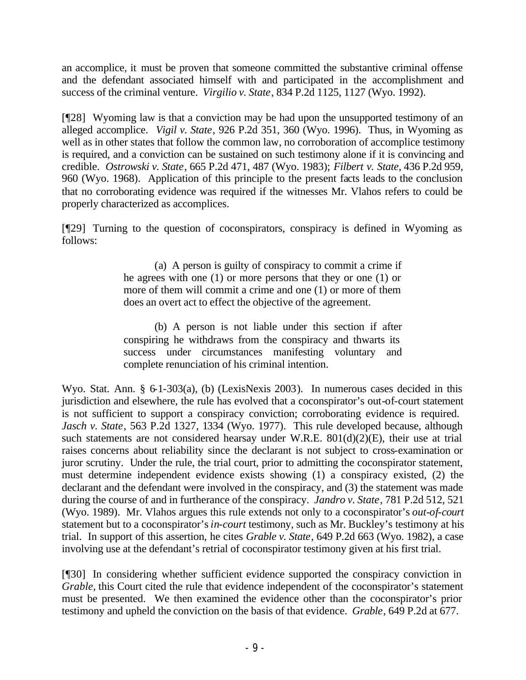an accomplice, it must be proven that someone committed the substantive criminal offense and the defendant associated himself with and participated in the accomplishment and success of the criminal venture. *Virgilio v. State*, 834 P.2d 1125, 1127 (Wyo. 1992).

[¶28] Wyoming law is that a conviction may be had upon the unsupported testimony of an alleged accomplice. *Vigil v. State*, 926 P.2d 351, 360 (Wyo. 1996). Thus, in Wyoming as well as in other states that follow the common law, no corroboration of accomplice testimony is required, and a conviction can be sustained on such testimony alone if it is convincing and credible. *Ostrowski v. State*, 665 P.2d 471, 487 (Wyo. 1983); *Filbert v. State*, 436 P.2d 959, 960 (Wyo. 1968). Application of this principle to the present facts leads to the conclusion that no corroborating evidence was required if the witnesses Mr. Vlahos refers to could be properly characterized as accomplices.

[¶29] Turning to the question of coconspirators, conspiracy is defined in Wyoming as follows:

> (a) A person is guilty of conspiracy to commit a crime if he agrees with one (1) or more persons that they or one (1) or more of them will commit a crime and one (1) or more of them does an overt act to effect the objective of the agreement.

> (b) A person is not liable under this section if after conspiring he withdraws from the conspiracy and thwarts its success under circumstances manifesting voluntary and complete renunciation of his criminal intention.

Wyo. Stat. Ann. § 6-1-303(a), (b) (LexisNexis 2003). In numerous cases decided in this jurisdiction and elsewhere, the rule has evolved that a coconspirator's out-of-court statement is not sufficient to support a conspiracy conviction; corroborating evidence is required. *Jasch v. State*, 563 P.2d 1327, 1334 (Wyo. 1977). This rule developed because, although such statements are not considered hearsay under W.R.E. 801(d)(2)(E), their use at trial raises concerns about reliability since the declarant is not subject to cross-examination or juror scrutiny. Under the rule, the trial court, prior to admitting the coconspirator statement, must determine independent evidence exists showing (1) a conspiracy existed, (2) the declarant and the defendant were involved in the conspiracy, and (3) the statement was made during the course of and in furtherance of the conspiracy. *Jandro v. State*, 781 P.2d 512, 521 (Wyo. 1989). Mr. Vlahos argues this rule extends not only to a coconspirator's *out-of-court* statement but to a coconspirator's *in-court* testimony, such as Mr. Buckley's testimony at his trial. In support of this assertion, he cites *Grable v. State*, 649 P.2d 663 (Wyo. 1982), a case involving use at the defendant's retrial of coconspirator testimony given at his first trial.

[¶30] In considering whether sufficient evidence supported the conspiracy conviction in *Grable,* this Court cited the rule that evidence independent of the coconspirator's statement must be presented. We then examined the evidence other than the coconspirator's prior testimony and upheld the conviction on the basis of that evidence. *Grable*, 649 P.2d at 677.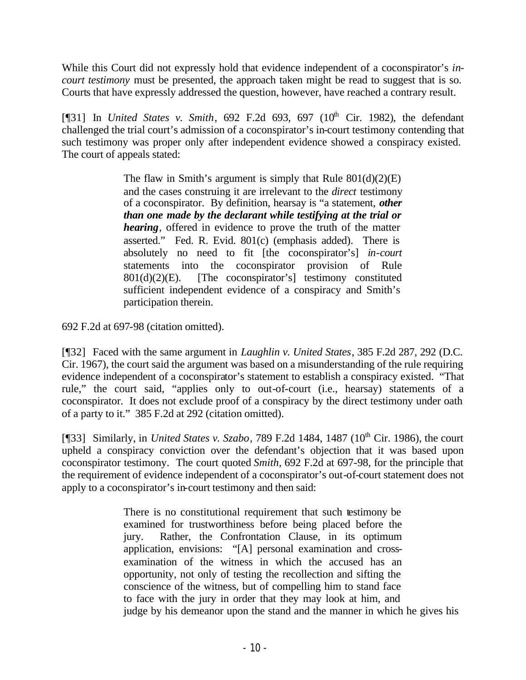While this Court did not expressly hold that evidence independent of a coconspirator's *incourt testimony* must be presented, the approach taken might be read to suggest that is so. Courts that have expressly addressed the question, however, have reached a contrary result.

[ $[$ [31] In *United States v. Smith*, 692 F.2d 693, 697 ( $10<sup>th</sup>$  Cir. 1982), the defendant challenged the trial court's admission of a coconspirator's in-court testimony contending that such testimony was proper only after independent evidence showed a conspiracy existed. The court of appeals stated:

> The flaw in Smith's argument is simply that Rule  $801(d)(2)(E)$ and the cases construing it are irrelevant to the *direct* testimony of a coconspirator. By definition, hearsay is "a statement, *other than one made by the declarant while testifying at the trial or hearing*, offered in evidence to prove the truth of the matter asserted." Fed. R. Evid. 801(c) (emphasis added). There is absolutely no need to fit [the coconspirator's] *in-court* statements into the coconspirator provision of Rule  $801(d)(2)(E)$ . [The coconspirator's] testimony constituted sufficient independent evidence of a conspiracy and Smith's participation therein.

692 F.2d at 697-98 (citation omitted).

[¶32] Faced with the same argument in *Laughlin v. United States*, 385 F.2d 287, 292 (D.C. Cir. 1967), the court said the argument was based on a misunderstanding of the rule requiring evidence independent of a coconspirator's statement to establish a conspiracy existed. "That rule," the court said, "applies only to out-of-court (i.e., hearsay) statements of a coconspirator. It does not exclude proof of a conspiracy by the direct testimony under oath of a party to it." 385 F.2d at 292 (citation omitted).

[¶33] Similarly, in *United States v. Szabo*, 789 F.2d 1484, 1487 (10<sup>th</sup> Cir. 1986), the court upheld a conspiracy conviction over the defendant's objection that it was based upon coconspirator testimony. The court quoted *Smith*, 692 F.2d at 697-98, for the principle that the requirement of evidence independent of a coconspirator's out-of-court statement does not apply to a coconspirator's in-court testimony and then said:

> There is no constitutional requirement that such testimony be examined for trustworthiness before being placed before the jury. Rather, the Confrontation Clause, in its optimum application, envisions: "[A] personal examination and crossexamination of the witness in which the accused has an opportunity, not only of testing the recollection and sifting the conscience of the witness, but of compelling him to stand face to face with the jury in order that they may look at him, and judge by his demeanor upon the stand and the manner in which he gives his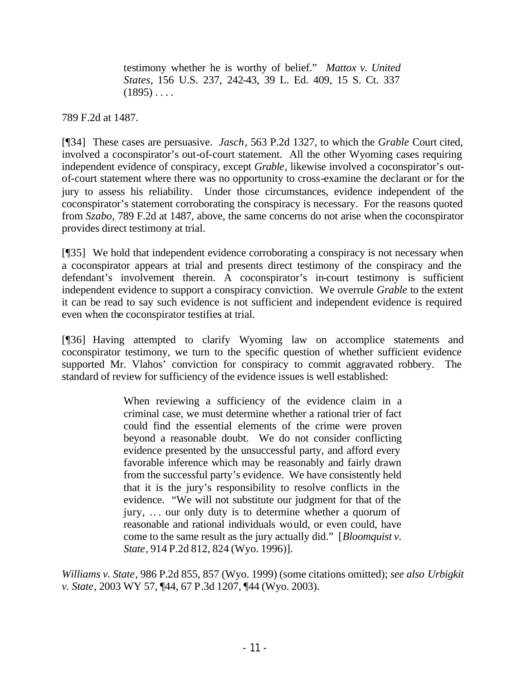testimony whether he is worthy of belief." *Mattox v. United States,* 156 U.S. 237, 242-43, 39 L. Ed. 409, 15 S. Ct. 337  $(1895) \ldots$ 

789 F.2d at 1487.

[¶34] These cases are persuasive. *Jasch*, 563 P.2d 1327, to which the *Grable* Court cited, involved a coconspirator's out-of-court statement. All the other Wyoming cases requiring independent evidence of conspiracy, except *Grable*, likewise involved a coconspirator's outof-court statement where there was no opportunity to cross-examine the declarant or for the jury to assess his reliability. Under those circumstances, evidence independent of the coconspirator's statement corroborating the conspiracy is necessary. For the reasons quoted from *Szabo*, 789 F.2d at 1487, above, the same concerns do not arise when the coconspirator provides direct testimony at trial.

[¶35] We hold that independent evidence corroborating a conspiracy is not necessary when a coconspirator appears at trial and presents direct testimony of the conspiracy and the defendant's involvement therein. A coconspirator's in-court testimony is sufficient independent evidence to support a conspiracy conviction. We overrule *Grable* to the extent it can be read to say such evidence is not sufficient and independent evidence is required even when the coconspirator testifies at trial.

[¶36] Having attempted to clarify Wyoming law on accomplice statements and coconspirator testimony, we turn to the specific question of whether sufficient evidence supported Mr. Vlahos' conviction for conspiracy to commit aggravated robbery. The standard of review for sufficiency of the evidence issues is well established:

> When reviewing a sufficiency of the evidence claim in a criminal case, we must determine whether a rational trier of fact could find the essential elements of the crime were proven beyond a reasonable doubt. We do not consider conflicting evidence presented by the unsuccessful party, and afford every favorable inference which may be reasonably and fairly drawn from the successful party's evidence. We have consistently held that it is the jury's responsibility to resolve conflicts in the evidence. "We will not substitute our judgment for that of the jury, .. . our only duty is to determine whether a quorum of reasonable and rational individuals would, or even could, have come to the same result as the jury actually did." [*Bloomquist v. State*, 914 P.2d 812, 824 (Wyo. 1996)].

*Williams v. State*, 986 P.2d 855, 857 (Wyo. 1999) (some citations omitted); *see also Urbigkit v. State*, 2003 WY 57, ¶44, 67 P.3d 1207, ¶44 (Wyo. 2003).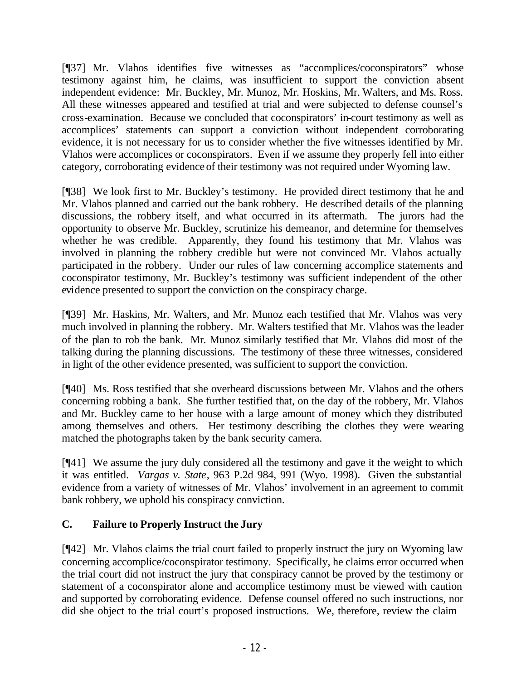[¶37] Mr. Vlahos identifies five witnesses as "accomplices/coconspirators" whose testimony against him, he claims, was insufficient to support the conviction absent independent evidence: Mr. Buckley, Mr. Munoz, Mr. Hoskins, Mr. Walters, and Ms. Ross. All these witnesses appeared and testified at trial and were subjected to defense counsel's cross-examination. Because we concluded that coconspirators' in-court testimony as well as accomplices' statements can support a conviction without independent corroborating evidence, it is not necessary for us to consider whether the five witnesses identified by Mr. Vlahos were accomplices or coconspirators. Even if we assume they properly fell into either category, corroborating evidence of their testimony was not required under Wyoming law.

[¶38] We look first to Mr. Buckley's testimony. He provided direct testimony that he and Mr. Vlahos planned and carried out the bank robbery. He described details of the planning discussions, the robbery itself, and what occurred in its aftermath. The jurors had the opportunity to observe Mr. Buckley, scrutinize his demeanor, and determine for themselves whether he was credible. Apparently, they found his testimony that Mr. Vlahos was involved in planning the robbery credible but were not convinced Mr. Vlahos actually participated in the robbery. Under our rules of law concerning accomplice statements and coconspirator testimony, Mr. Buckley's testimony was sufficient independent of the other evidence presented to support the conviction on the conspiracy charge.

[¶39] Mr. Haskins, Mr. Walters, and Mr. Munoz each testified that Mr. Vlahos was very much involved in planning the robbery. Mr. Walters testified that Mr. Vlahos was the leader of the plan to rob the bank. Mr. Munoz similarly testified that Mr. Vlahos did most of the talking during the planning discussions. The testimony of these three witnesses, considered in light of the other evidence presented, was sufficient to support the conviction.

[¶40] Ms. Ross testified that she overheard discussions between Mr. Vlahos and the others concerning robbing a bank. She further testified that, on the day of the robbery, Mr. Vlahos and Mr. Buckley came to her house with a large amount of money which they distributed among themselves and others. Her testimony describing the clothes they were wearing matched the photographs taken by the bank security camera.

[¶41] We assume the jury duly considered all the testimony and gave it the weight to which it was entitled. *Vargas v. State*, 963 P.2d 984, 991 (Wyo. 1998). Given the substantial evidence from a variety of witnesses of Mr. Vlahos' involvement in an agreement to commit bank robbery, we uphold his conspiracy conviction.

# **C. Failure to Properly Instruct the Jury**

[¶42] Mr. Vlahos claims the trial court failed to properly instruct the jury on Wyoming law concerning accomplice/coconspirator testimony. Specifically, he claims error occurred when the trial court did not instruct the jury that conspiracy cannot be proved by the testimony or statement of a coconspirator alone and accomplice testimony must be viewed with caution and supported by corroborating evidence. Defense counsel offered no such instructions, nor did she object to the trial court's proposed instructions. We, therefore, review the claim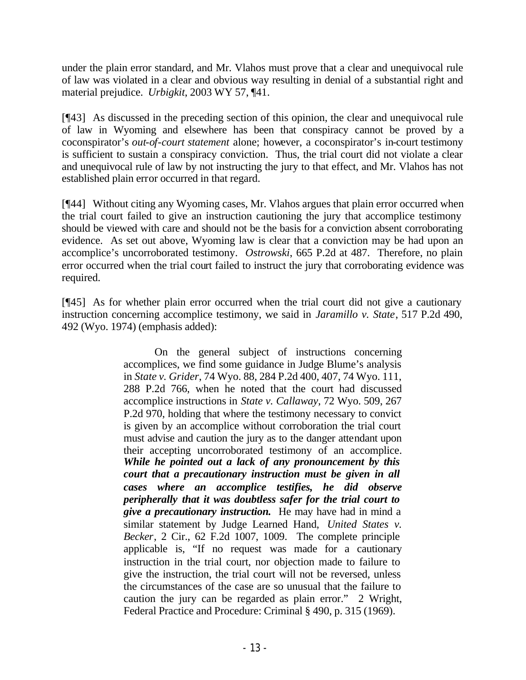under the plain error standard, and Mr. Vlahos must prove that a clear and unequivocal rule of law was violated in a clear and obvious way resulting in denial of a substantial right and material prejudice. *Urbigkit*, 2003 WY 57, ¶41.

[¶43] As discussed in the preceding section of this opinion, the clear and unequivocal rule of law in Wyoming and elsewhere has been that conspiracy cannot be proved by a coconspirator's *out-of-court statement* alone; however, a coconspirator's in-court testimony is sufficient to sustain a conspiracy conviction. Thus, the trial court did not violate a clear and unequivocal rule of law by not instructing the jury to that effect, and Mr. Vlahos has not established plain error occurred in that regard.

[¶44] Without citing any Wyoming cases, Mr. Vlahos argues that plain error occurred when the trial court failed to give an instruction cautioning the jury that accomplice testimony should be viewed with care and should not be the basis for a conviction absent corroborating evidence. As set out above, Wyoming law is clear that a conviction may be had upon an accomplice's uncorroborated testimony. *Ostrowski*, 665 P.2d at 487. Therefore, no plain error occurred when the trial court failed to instruct the jury that corroborating evidence was required.

[¶45] As for whether plain error occurred when the trial court did not give a cautionary instruction concerning accomplice testimony, we said in *Jaramillo v. State*, 517 P.2d 490, 492 (Wyo. 1974) (emphasis added):

> On the general subject of instructions concerning accomplices, we find some guidance in Judge Blume's analysis in *State v. Grider*, 74 Wyo. 88, 284 P.2d 400, 407, 74 Wyo. 111, 288 P.2d 766, when he noted that the court had discussed accomplice instructions in *State v. Callaway*, 72 Wyo. 509, 267 P.2d 970, holding that where the testimony necessary to convict is given by an accomplice without corroboration the trial court must advise and caution the jury as to the danger attendant upon their accepting uncorroborated testimony of an accomplice. *While he pointed out a lack of any pronouncement by this court that a precautionary instruction must be given in all cases where an accomplice testifies, he did observe peripherally that it was doubtless safer for the trial court to give a precautionary instruction.* He may have had in mind a similar statement by Judge Learned Hand, *United States v. Becker*, 2 Cir., 62 F.2d 1007, 1009. The complete principle applicable is, "If no request was made for a cautionary instruction in the trial court, nor objection made to failure to give the instruction, the trial court will not be reversed, unless the circumstances of the case are so unusual that the failure to caution the jury can be regarded as plain error." 2 Wright, Federal Practice and Procedure: Criminal § 490, p. 315 (1969).